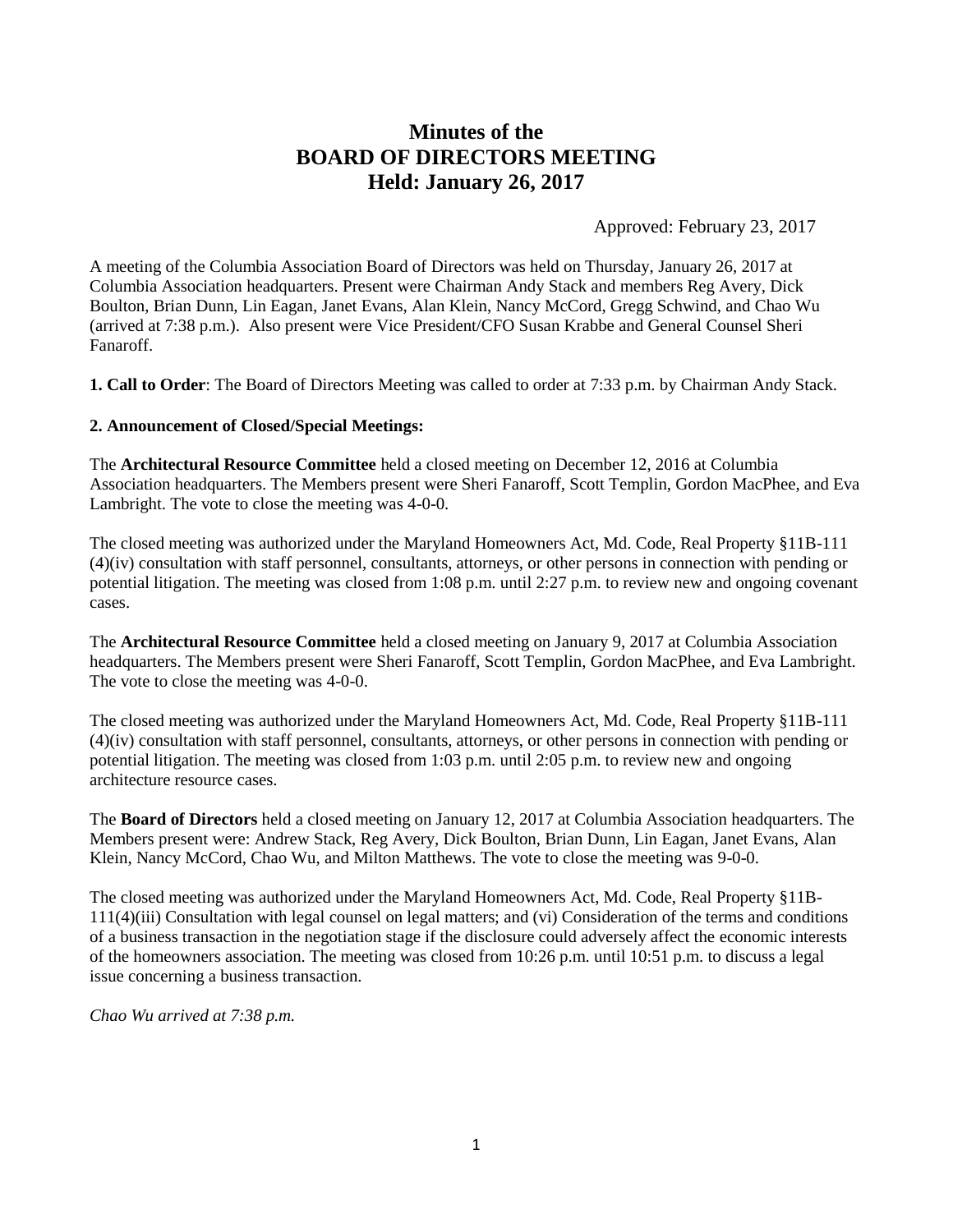# **Minutes of the BOARD OF DIRECTORS MEETING Held: January 26, 2017**

Approved: February 23, 2017

A meeting of the Columbia Association Board of Directors was held on Thursday, January 26, 2017 at Columbia Association headquarters. Present were Chairman Andy Stack and members Reg Avery, Dick Boulton, Brian Dunn, Lin Eagan, Janet Evans, Alan Klein, Nancy McCord, Gregg Schwind, and Chao Wu (arrived at 7:38 p.m.). Also present were Vice President/CFO Susan Krabbe and General Counsel Sheri Fanaroff.

**1. Call to Order**: The Board of Directors Meeting was called to order at 7:33 p.m. by Chairman Andy Stack.

#### **2. Announcement of Closed/Special Meetings:**

The **Architectural Resource Committee** held a closed meeting on December 12, 2016 at Columbia Association headquarters. The Members present were Sheri Fanaroff, Scott Templin, Gordon MacPhee, and Eva Lambright. The vote to close the meeting was 4-0-0.

The closed meeting was authorized under the Maryland Homeowners Act, Md. Code, Real Property §11B-111 (4)(iv) consultation with staff personnel, consultants, attorneys, or other persons in connection with pending or potential litigation. The meeting was closed from 1:08 p.m. until 2:27 p.m. to review new and ongoing covenant cases.

The **Architectural Resource Committee** held a closed meeting on January 9, 2017 at Columbia Association headquarters. The Members present were Sheri Fanaroff, Scott Templin, Gordon MacPhee, and Eva Lambright. The vote to close the meeting was 4-0-0.

The closed meeting was authorized under the Maryland Homeowners Act, Md. Code, Real Property §11B-111 (4)(iv) consultation with staff personnel, consultants, attorneys, or other persons in connection with pending or potential litigation. The meeting was closed from 1:03 p.m. until 2:05 p.m. to review new and ongoing architecture resource cases.

The **Board of Directors** held a closed meeting on January 12, 2017 at Columbia Association headquarters. The Members present were: Andrew Stack, Reg Avery, Dick Boulton, Brian Dunn, Lin Eagan, Janet Evans, Alan Klein, Nancy McCord, Chao Wu, and Milton Matthews. The vote to close the meeting was 9-0-0.

The closed meeting was authorized under the Maryland Homeowners Act, Md. Code, Real Property §11B-111(4)(iii) Consultation with legal counsel on legal matters; and (vi) Consideration of the terms and conditions of a business transaction in the negotiation stage if the disclosure could adversely affect the economic interests of the homeowners association. The meeting was closed from 10:26 p.m. until 10:51 p.m. to discuss a legal issue concerning a business transaction.

*Chao Wu arrived at 7:38 p.m.*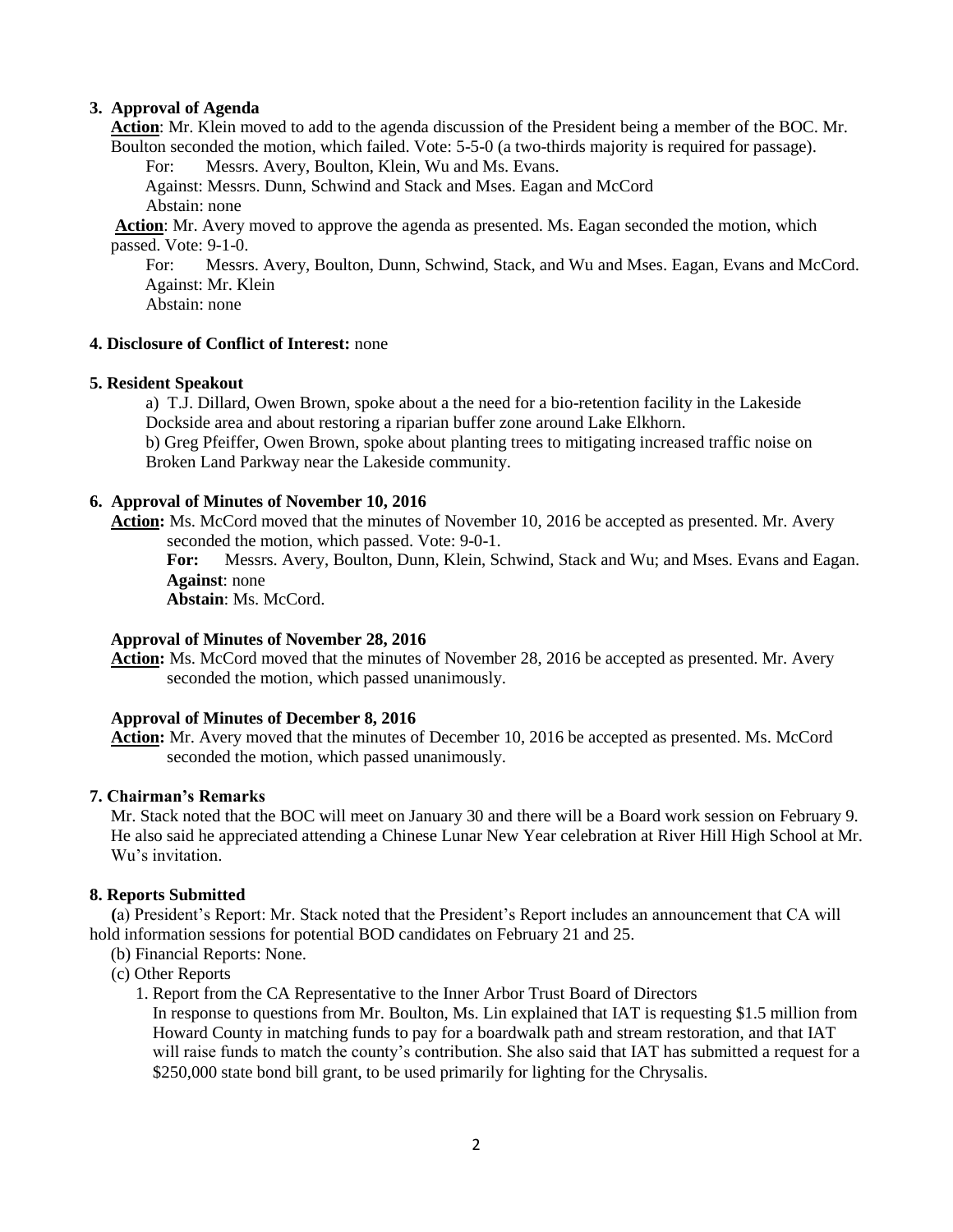# **3. Approval of Agenda**

**Action**: Mr. Klein moved to add to the agenda discussion of the President being a member of the BOC. Mr. Boulton seconded the motion, which failed. Vote: 5-5-0 (a two-thirds majority is required for passage).

For: Messrs. Avery, Boulton, Klein, Wu and Ms. Evans.

Against: Messrs. Dunn, Schwind and Stack and Mses. Eagan and McCord

Abstain: none

**Action**: Mr. Avery moved to approve the agenda as presented. Ms. Eagan seconded the motion, which passed. Vote: 9-1-0.

For: Messrs. Avery, Boulton, Dunn, Schwind, Stack, and Wu and Mses. Eagan, Evans and McCord. Against: Mr. Klein

Abstain: none

## **4. Disclosure of Conflict of Interest:** none

# **5. Resident Speakout**

a) T.J. Dillard, Owen Brown, spoke about a the need for a bio-retention facility in the Lakeside Dockside area and about restoring a riparian buffer zone around Lake Elkhorn.

b) Greg Pfeiffer, Owen Brown, spoke about planting trees to mitigating increased traffic noise on Broken Land Parkway near the Lakeside community.

# **6. Approval of Minutes of November 10, 2016**

**Action:** Ms. McCord moved that the minutes of November 10, 2016 be accepted as presented. Mr. Avery seconded the motion, which passed. Vote: 9-0-1.

**For:** Messrs. Avery, Boulton, Dunn, Klein, Schwind, Stack and Wu; and Mses. Evans and Eagan. **Against**: none

**Abstain**: Ms. McCord.

### **Approval of Minutes of November 28, 2016**

**Action:** Ms. McCord moved that the minutes of November 28, 2016 be accepted as presented. Mr. Avery seconded the motion, which passed unanimously.

### **Approval of Minutes of December 8, 2016**

**Action:** Mr. Avery moved that the minutes of December 10, 2016 be accepted as presented. Ms. McCord seconded the motion, which passed unanimously.

### **7. Chairman's Remarks**

Mr. Stack noted that the BOC will meet on January 30 and there will be a Board work session on February 9. He also said he appreciated attending a Chinese Lunar New Year celebration at River Hill High School at Mr. Wu's invitation.

### **8. Reports Submitted**

 **(**a) President's Report: Mr. Stack noted that the President's Report includes an announcement that CA will hold information sessions for potential BOD candidates on February 21 and 25.

- (b) Financial Reports: None.
- (c) Other Reports

1. Report from the CA Representative to the Inner Arbor Trust Board of Directors

In response to questions from Mr. Boulton, Ms. Lin explained that IAT is requesting \$1.5 million from Howard County in matching funds to pay for a boardwalk path and stream restoration, and that IAT will raise funds to match the county's contribution. She also said that IAT has submitted a request for a \$250,000 state bond bill grant, to be used primarily for lighting for the Chrysalis.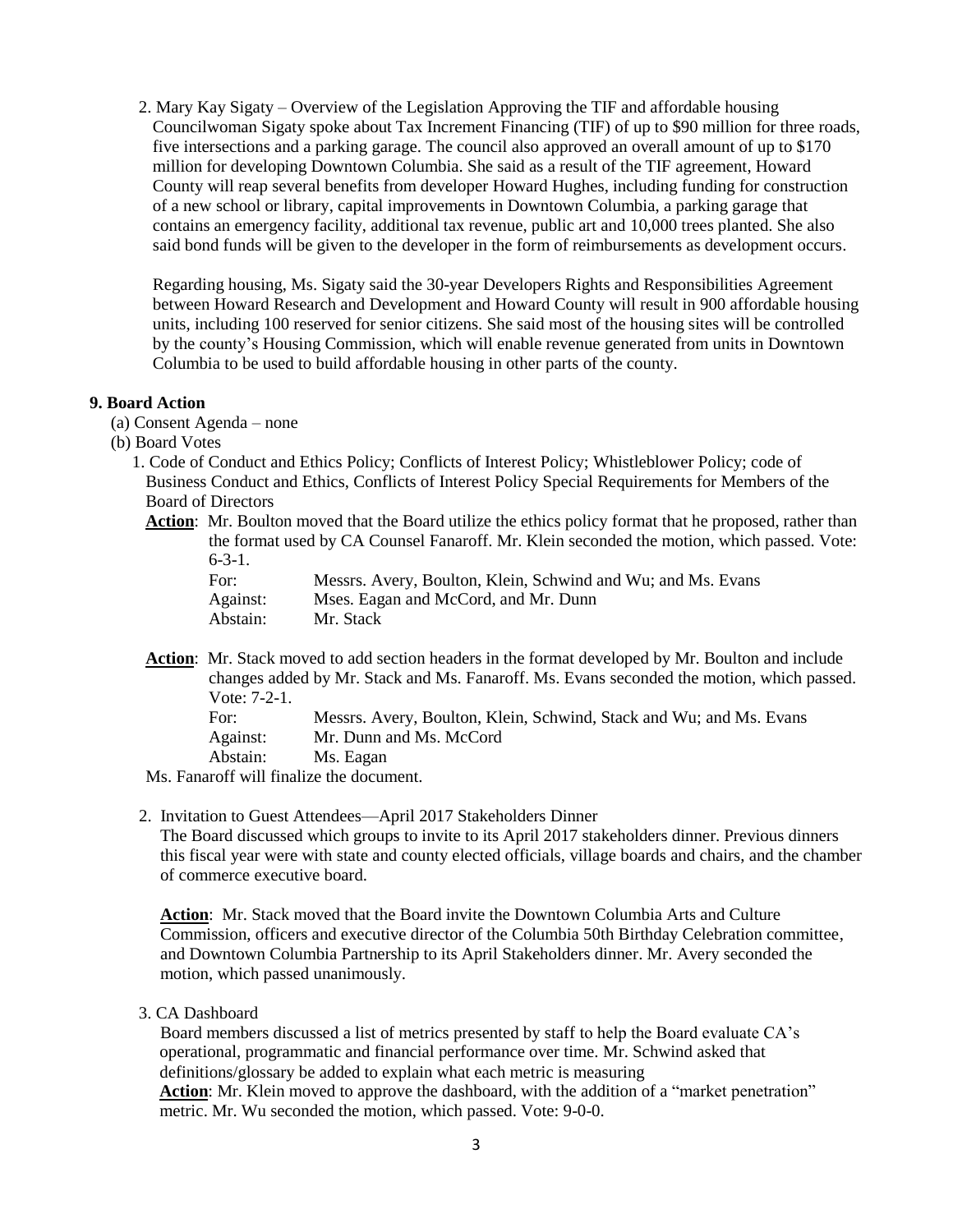2. Mary Kay Sigaty – Overview of the Legislation Approving the TIF and affordable housing Councilwoman Sigaty spoke about Tax Increment Financing (TIF) of up to \$90 million for three roads, five intersections and a parking garage. The council also approved an overall amount of up to \$170 million for developing Downtown Columbia. She said as a result of the TIF agreement, Howard County will reap several benefits from developer Howard Hughes, including funding for construction of a new school or library, capital improvements in Downtown Columbia, a parking garage that contains an emergency facility, additional tax revenue, public art and 10,000 trees planted. She also said bond funds will be given to the developer in the form of reimbursements as development occurs.

Regarding housing, Ms. Sigaty said the 30-year Developers Rights and Responsibilities Agreement between Howard Research and Development and Howard County will result in 900 affordable housing units, including 100 reserved for senior citizens. She said most of the housing sites will be controlled by the county's Housing Commission, which will enable revenue generated from units in Downtown Columbia to be used to build affordable housing in other parts of the county.

### **9. Board Action**

- (a) Consent Agenda none
- (b) Board Votes
	- 1. Code of Conduct and Ethics Policy; Conflicts of Interest Policy; Whistleblower Policy; code of Business Conduct and Ethics, Conflicts of Interest Policy Special Requirements for Members of the Board of Directors
		- Action: Mr. Boulton moved that the Board utilize the ethics policy format that he proposed, rather than the format used by CA Counsel Fanaroff. Mr. Klein seconded the motion, which passed. Vote:  $6 - 3 - 1$ .

| For:     | Messrs. Avery, Boulton, Klein, Schwind and Wu; and Ms. Evans |
|----------|--------------------------------------------------------------|
| Against: | Mses. Eagan and McCord, and Mr. Dunn                         |
| Abstain: | Mr. Stack                                                    |

**Action**: Mr. Stack moved to add section headers in the format developed by Mr. Boulton and include changes added by Mr. Stack and Ms. Fanaroff. Ms. Evans seconded the motion, which passed. Vote: 7-2-1. For: Messrs. Avery, Boulton, Klein, Schwind, Stack and Wu; and Ms. Evans

Against: Mr. Dunn and Ms. McCord

Abstain: Ms. Eagan

Ms. Fanaroff will finalize the document.

2. Invitation to Guest Attendees—April 2017 Stakeholders Dinner

The Board discussed which groups to invite to its April 2017 stakeholders dinner. Previous dinners this fiscal year were with state and county elected officials, village boards and chairs, and the chamber of commerce executive board.

**Action**: Mr. Stack moved that the Board invite the Downtown Columbia Arts and Culture Commission, officers and executive director of the Columbia 50th Birthday Celebration committee, and Downtown Columbia Partnership to its April Stakeholders dinner. Mr. Avery seconded the motion, which passed unanimously.

### 3. CA Dashboard

 Board members discussed a list of metrics presented by staff to help the Board evaluate CA's operational, programmatic and financial performance over time. Mr. Schwind asked that definitions/glossary be added to explain what each metric is measuring **Action**: Mr. Klein moved to approve the dashboard, with the addition of a "market penetration" metric. Mr. Wu seconded the motion, which passed. Vote: 9-0-0.